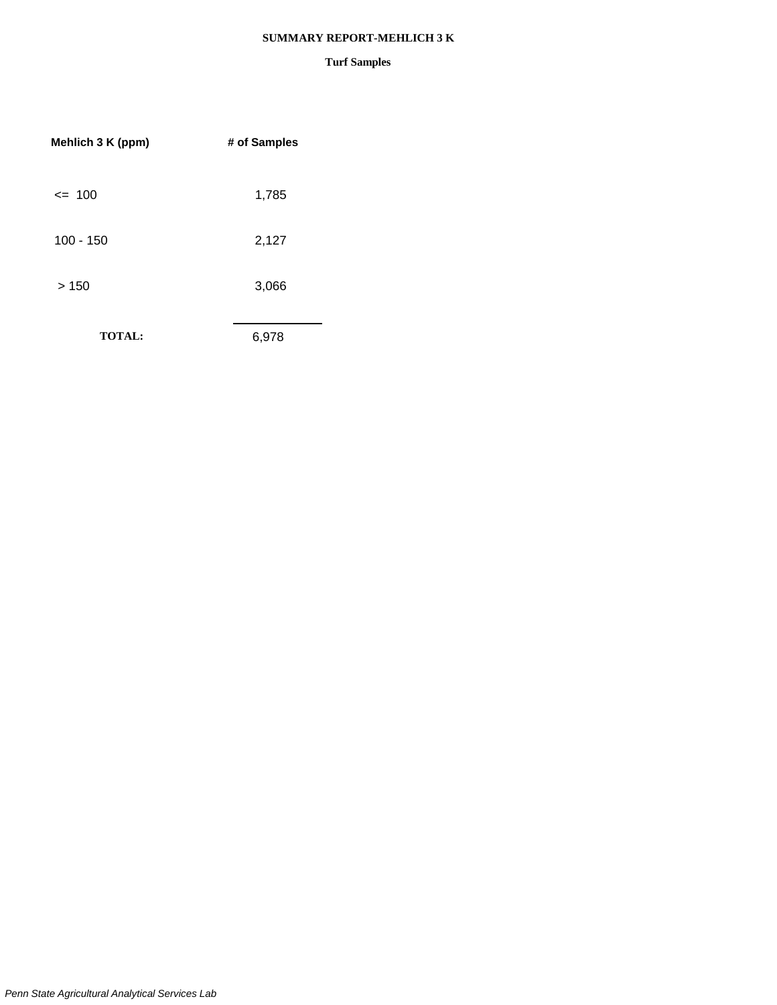#### **SUMMARY REPORT-MEHLICH 3 K**

| Mehlich 3 K (ppm) | # of Samples |
|-------------------|--------------|
| $= 100$           | 1,785        |
| $100 - 150$       | 2,127        |
| >150              | 3,066        |
| <b>TOTAL:</b>     | 6,978        |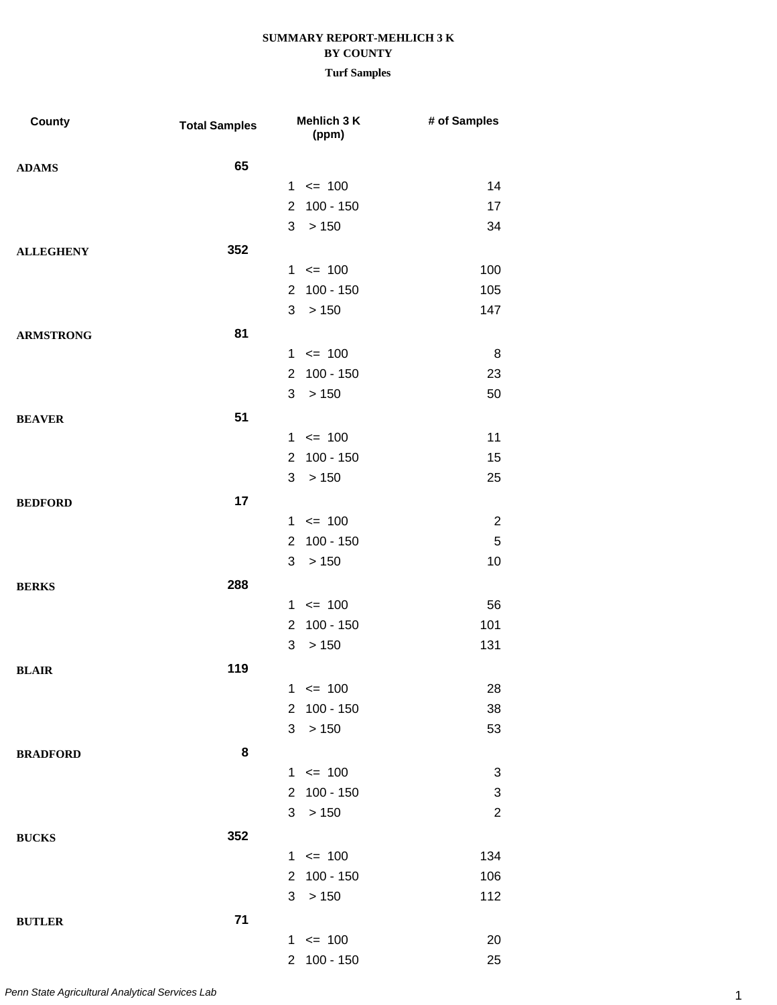| County           | <b>Total Samples</b> |                | Mehlich 3 K<br>(ppm) | # of Samples   |
|------------------|----------------------|----------------|----------------------|----------------|
| <b>ADAMS</b>     | 65                   |                |                      |                |
|                  |                      |                | $1 \le 100$          | 14             |
|                  |                      | $2^{\circ}$    | $100 - 150$          | 17             |
|                  |                      |                | 3 > 150              | 34             |
| <b>ALLEGHENY</b> | 352                  |                |                      |                |
|                  |                      |                | $1 \le 100$          | 100            |
|                  |                      | 2 <sup>7</sup> | $100 - 150$          | 105            |
|                  |                      | 3              | > 150                | 147            |
| <b>ARMSTRONG</b> | 81                   |                |                      |                |
|                  |                      |                | $1 \le 100$          | 8              |
|                  |                      | $2^{\circ}$    | $100 - 150$          | 23             |
|                  |                      |                | 3 > 150              | 50             |
| <b>BEAVER</b>    | 51                   |                |                      |                |
|                  |                      |                | $1 \le 100$          | 11             |
|                  |                      | 2 <sup>7</sup> | $100 - 150$          | 15             |
|                  |                      | 3              | >150                 | 25             |
| <b>BEDFORD</b>   | 17                   |                |                      |                |
|                  |                      |                | $1 \le 100$          | $\overline{2}$ |
|                  |                      | $\mathbf{2}$   | $100 - 150$          | 5              |
|                  |                      | 3              | > 150                | 10             |
| <b>BERKS</b>     | 288                  |                |                      |                |
|                  |                      |                | $1 \le 100$          | 56             |
|                  |                      | $\overline{2}$ | $100 - 150$          | 101            |
|                  |                      | 3              | > 150                | 131            |
| <b>BLAIR</b>     | 119                  |                |                      |                |
|                  |                      |                | $1 \le 100$          | 28             |
|                  |                      |                | 2 100 - 150          | 38             |
|                  |                      | 3              | > 150                | 53             |
| <b>BRADFORD</b>  | 8                    |                |                      |                |
|                  |                      |                | $1 \le 100$          | 3              |
|                  |                      | $2^{\circ}$    | $100 - 150$          | 3              |
|                  |                      |                | 3 > 150              | $\overline{c}$ |
| <b>BUCKS</b>     | 352                  |                |                      |                |
|                  |                      |                | $1 \le 100$          | 134            |
|                  |                      |                | 2 100 - 150          | 106            |
|                  |                      | 3              | > 150                | 112            |
| <b>BUTLER</b>    | 71                   |                |                      |                |
|                  |                      |                | $1 \le 100$          | 20             |
|                  |                      |                | 2 100 - 150          | 25             |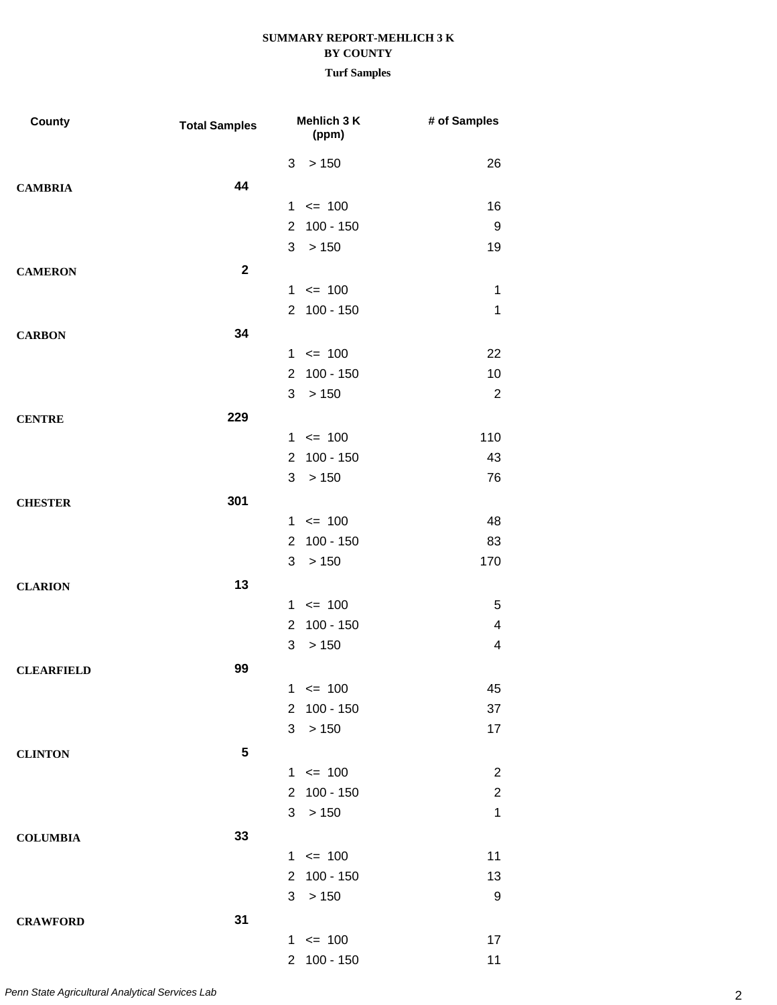| <b>County</b>     | <b>Total Samples</b> | Mehlich 3 K<br>(ppm)                | # of Samples            |
|-------------------|----------------------|-------------------------------------|-------------------------|
|                   |                      | >150<br>3                           | 26                      |
| <b>CAMBRIA</b>    | 44                   |                                     |                         |
|                   |                      | $1 \le 100$                         | 16                      |
|                   |                      | 2 100 - 150                         | 9                       |
|                   |                      | 3<br>>150                           | 19                      |
| <b>CAMERON</b>    | $\mathbf{2}$         |                                     |                         |
|                   |                      | $1 \le 100$                         | 1                       |
|                   |                      | 2 100 - 150                         | 1                       |
| <b>CARBON</b>     | 34                   |                                     |                         |
|                   |                      | $1 \le 100$                         | 22                      |
|                   |                      | $100 - 150$<br>$\overline{2}$       | 10                      |
|                   |                      | 3<br>> 150                          | $\overline{2}$          |
| <b>CENTRE</b>     | 229                  |                                     |                         |
|                   |                      | $1 \le 100$                         | 110                     |
|                   |                      | 2 100 - 150                         | 43                      |
|                   |                      | 3<br>>150                           | 76                      |
| <b>CHESTER</b>    | 301                  |                                     |                         |
|                   |                      | $1 \le 100$                         | 48                      |
|                   |                      | $100 - 150$<br>$\overline{2}$       | 83                      |
|                   |                      | 3<br>>150                           | 170                     |
| <b>CLARION</b>    | 13                   |                                     |                         |
|                   |                      | $1 \le 100$                         | $\overline{5}$          |
|                   |                      | $100 - 150$<br>$\overline{2}$       | 4                       |
|                   |                      | 3<br>> 150                          | $\overline{\mathbf{4}}$ |
| <b>CLEARFIELD</b> | 99                   |                                     |                         |
|                   |                      | $1 \le 100$                         | 45                      |
|                   |                      | 2 100 - 150                         | 37                      |
|                   |                      | 3<br>>150                           | 17                      |
| <b>CLINTON</b>    | 5                    |                                     |                         |
|                   |                      | $1 \le 100$                         | $\overline{2}$          |
|                   |                      | $100 - 150$<br>$\mathbf{2}^{\circ}$ | $\overline{c}$          |
|                   |                      | 3<br>>150                           | $\mathbf 1$             |
| <b>COLUMBIA</b>   | 33                   |                                     |                         |
|                   |                      | $1 \le 100$                         | 11                      |
|                   |                      | 2 100 - 150                         | 13                      |
|                   |                      | 3<br>>150                           | $\boldsymbol{9}$        |
| <b>CRAWFORD</b>   | 31                   |                                     |                         |
|                   |                      | $1 \le 100$                         | 17                      |
|                   |                      | 2 100 - 150                         | 11                      |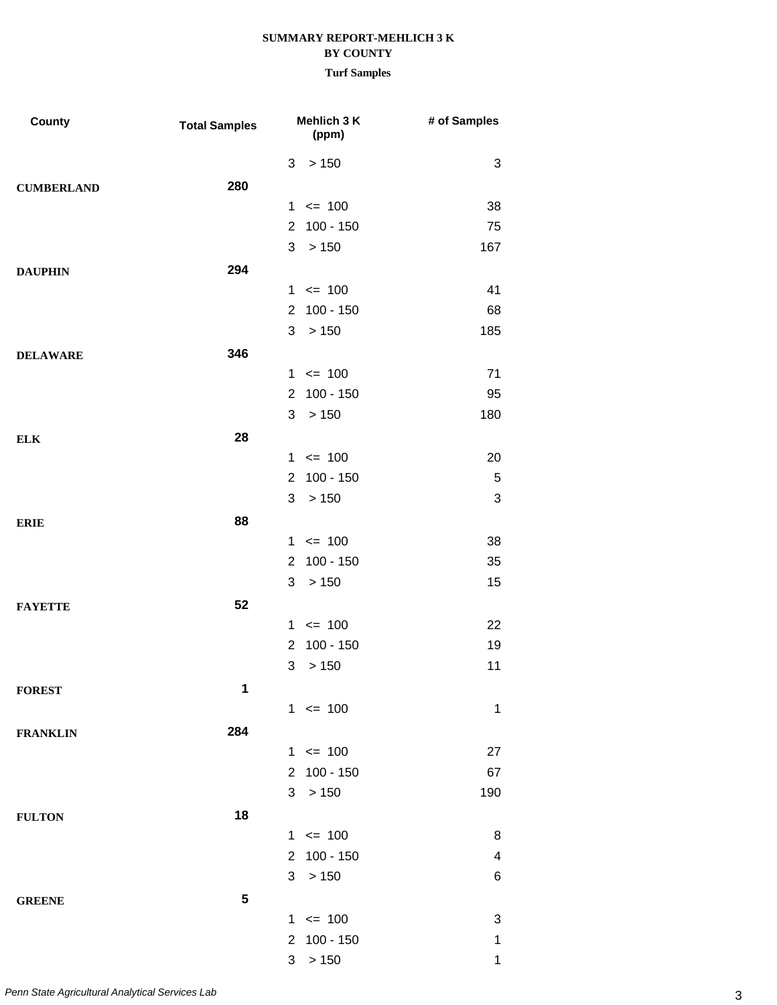|  | <b>Turf Sample</b> |
|--|--------------------|
|--|--------------------|

| <b>County</b>     | <b>Total Samples</b> |                | Mehlich 3 K<br>(ppm) | # of Samples            |
|-------------------|----------------------|----------------|----------------------|-------------------------|
|                   |                      | 3              | > 150                | 3                       |
| <b>CUMBERLAND</b> | 280                  |                |                      |                         |
|                   |                      | 1              | $\leq$ 100           | 38                      |
|                   |                      | $\overline{2}$ | 100 - 150            | 75                      |
|                   |                      | 3              | > 150                | 167                     |
| <b>DAUPHIN</b>    | 294                  |                |                      |                         |
|                   |                      |                | $1 \le 100$          | 41                      |
|                   |                      | $\overline{2}$ | $100 - 150$          | 68                      |
|                   |                      | 3              | >150                 | 185                     |
| <b>DELAWARE</b>   | 346                  |                |                      |                         |
|                   |                      |                | $1 \le 100$          | 71                      |
|                   |                      | $\overline{2}$ | 100 - 150            | 95                      |
|                   |                      | 3              | > 150                | 180                     |
| <b>ELK</b>        | 28                   |                |                      |                         |
|                   |                      |                | $1 \le 100$          | 20                      |
|                   |                      | $\overline{2}$ | $100 - 150$          | 5                       |
|                   |                      | 3              | >150                 | 3                       |
| <b>ERIE</b>       | 88                   |                |                      |                         |
|                   |                      |                | $1 \le 100$          | 38                      |
|                   |                      | $\overline{2}$ | 100 - 150            | 35                      |
|                   |                      | 3              | > 150                | 15                      |
| <b>FAYETTE</b>    | 52                   |                |                      |                         |
|                   |                      |                | $1 \le 100$          | 22                      |
|                   |                      | $\overline{2}$ | $100 - 150$          | 19                      |
|                   |                      | 3              | > 150                | 11                      |
| <b>FOREST</b>     | 1                    |                |                      |                         |
|                   |                      |                | $1 \le 100$          | $\mathbf{1}$            |
| <b>FRANKLIN</b>   | 284                  |                |                      |                         |
|                   |                      |                | $1 \le 100$          | 27                      |
|                   |                      | $\overline{2}$ | $100 - 150$          | 67                      |
|                   |                      | 3              | > 150                | 190                     |
| <b>FULTON</b>     | 18                   |                |                      |                         |
|                   |                      |                | $1 \le 100$          | 8                       |
|                   |                      | $\overline{2}$ | 100 - 150            | $\overline{\mathbf{4}}$ |
|                   |                      | 3              | > 150                | 6                       |
| <b>GREENE</b>     | 5                    |                |                      |                         |
|                   |                      |                | $1 \le 100$          | 3                       |
|                   |                      | $\overline{2}$ | 100 - 150            | 1                       |
|                   |                      | 3              | > 150                | $\mathbf 1$             |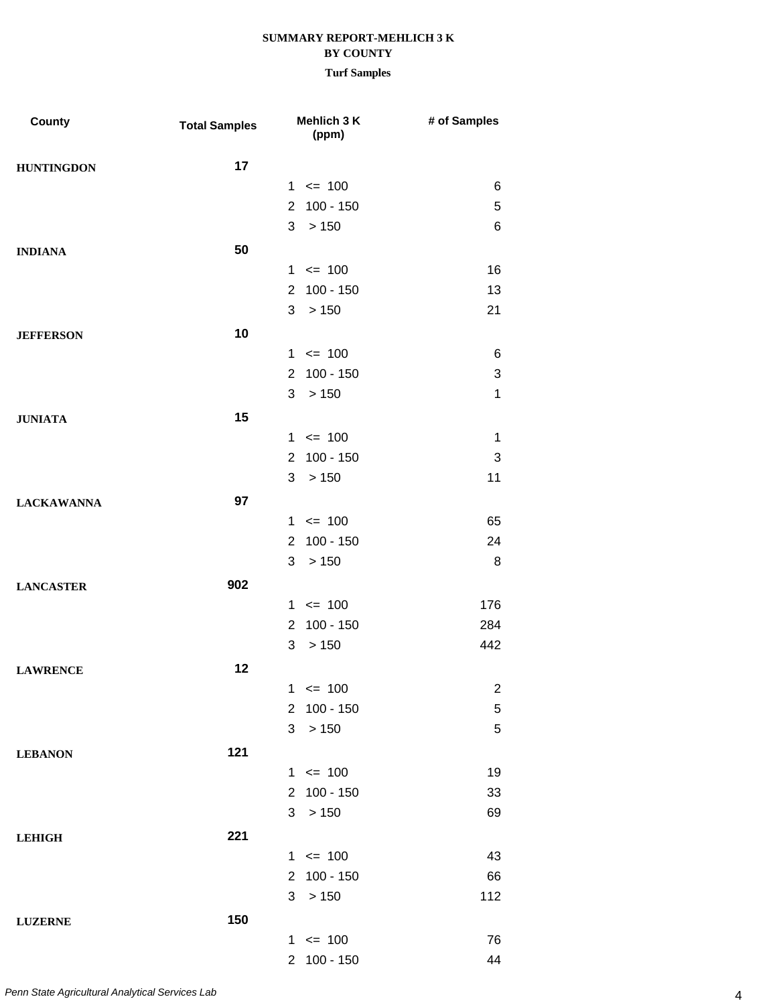| County            | <b>Total Samples</b> |                      | Mehlich 3 K<br>(ppm) | # of Samples   |
|-------------------|----------------------|----------------------|----------------------|----------------|
| <b>HUNTINGDON</b> | 17                   |                      |                      |                |
|                   |                      |                      | $1 \le 100$          | 6              |
|                   |                      | $\mathbf{2}$         | $100 - 150$          | 5              |
|                   |                      | 3                    | > 150                | $\,6$          |
| <b>INDIANA</b>    | 50                   |                      |                      |                |
|                   |                      |                      | $1 \le 100$          | 16             |
|                   |                      |                      | 2 100 - 150          | 13             |
|                   |                      | 3                    | >150                 | 21             |
| <b>JEFFERSON</b>  | 10                   |                      |                      |                |
|                   |                      |                      | $1 \le 100$          | 6              |
|                   |                      | $\mathbf{2}$         | $100 - 150$          | 3              |
|                   |                      | 3                    | > 150                | $\mathbf{1}$   |
| <b>JUNIATA</b>    | 15                   |                      |                      |                |
|                   |                      |                      | $1 \le 100$          | $\mathbf 1$    |
|                   |                      |                      | 2 100 - 150          | 3              |
|                   |                      | 3                    | >150                 | 11             |
| <b>LACKAWANNA</b> | 97                   |                      |                      |                |
|                   |                      |                      | $1 \le 100$          | 65             |
|                   |                      | $\mathbf{2}^{\circ}$ | $100 - 150$          | 24             |
|                   |                      | 3                    | >150                 | 8              |
| <b>LANCASTER</b>  | 902                  |                      |                      |                |
|                   |                      |                      | $1 \le 100$          | 176            |
|                   |                      | 2                    | 100 - 150            | 284            |
|                   |                      | 3                    | > 150                | 442            |
| <b>LAWRENCE</b>   | 12                   |                      |                      |                |
|                   |                      |                      | $1 \le 100$          | $\overline{c}$ |
|                   |                      |                      | 2 100 - 150          | 5              |
|                   |                      | 3                    | >150                 | $\sqrt{5}$     |
| <b>LEBANON</b>    | 121                  |                      |                      |                |
|                   |                      |                      | $1 \le 100$          | 19             |
|                   |                      |                      | 2 100 - 150          | 33             |
|                   |                      |                      | 3 > 150              | 69             |
| <b>LEHIGH</b>     | 221                  |                      |                      |                |
|                   |                      |                      | $1 \le 100$          | 43             |
|                   |                      |                      | 2 100 - 150          | 66             |
|                   |                      | 3                    | >150                 | 112            |
| <b>LUZERNE</b>    | 150                  |                      |                      |                |
|                   |                      |                      | $1 \le 100$          | 76             |
|                   |                      |                      | 2 100 - 150          | 44             |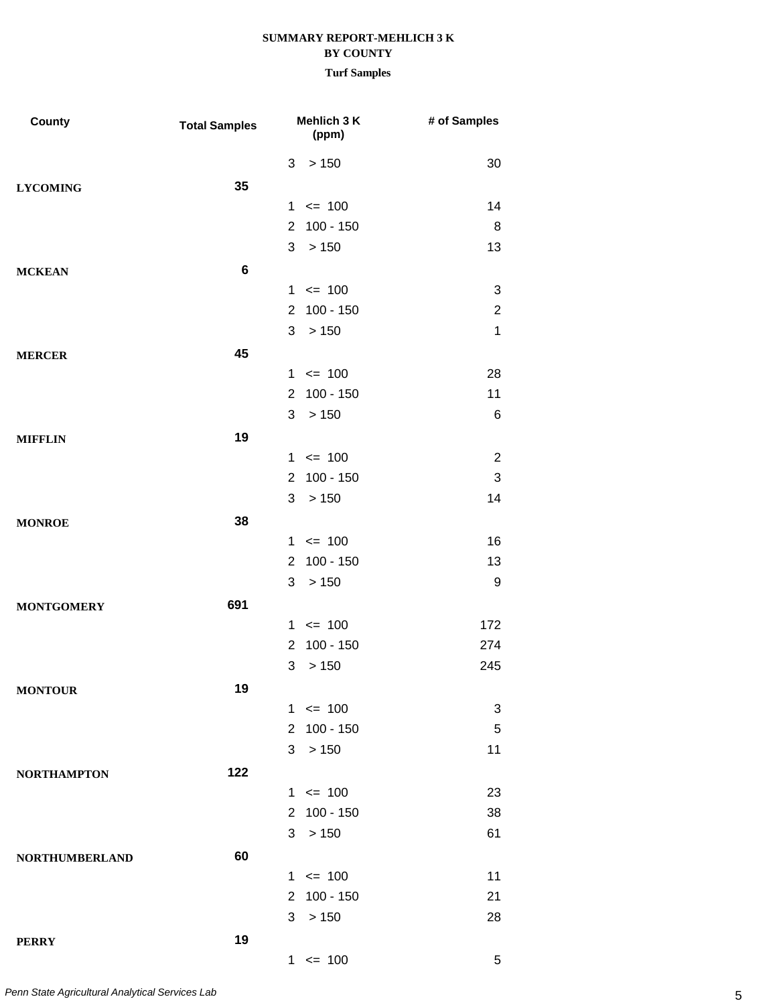| County                | <b>Total Samples</b> | Mehlich 3 K<br>(ppm)          | # of Samples   |
|-----------------------|----------------------|-------------------------------|----------------|
|                       |                      | > 150<br>3                    | 30             |
| <b>LYCOMING</b>       | 35                   |                               |                |
|                       |                      | $1 \le 100$                   | 14             |
|                       |                      | $100 - 150$<br>$\overline{2}$ | 8              |
|                       |                      | 3<br>> 150                    | 13             |
| <b>MCKEAN</b>         | $\bf 6$              |                               |                |
|                       |                      | $1 \le 100$                   | 3              |
|                       |                      | $\overline{2}$<br>$100 - 150$ | $\overline{2}$ |
|                       |                      | >150<br>3                     | 1              |
| <b>MERCER</b>         | 45                   |                               |                |
|                       |                      | $1 \le 100$                   | 28             |
|                       |                      | $100 - 150$<br>$\overline{2}$ | 11             |
|                       |                      | 3<br>> 150                    | 6              |
| <b>MIFFLIN</b>        | 19                   |                               |                |
|                       |                      | $1 \le 100$                   | $\overline{2}$ |
|                       |                      | $\overline{2}$<br>$100 - 150$ | 3              |
|                       |                      | > 150<br>3                    | 14             |
| <b>MONROE</b>         | 38                   |                               |                |
|                       |                      | $1 \le 100$                   | 16             |
|                       |                      | $100 - 150$<br>$\overline{2}$ | 13             |
|                       |                      | 3<br>> 150                    | 9              |
| <b>MONTGOMERY</b>     | 691                  |                               |                |
|                       |                      | $1 \le 100$                   | 172            |
|                       |                      | $\overline{2}$<br>$100 - 150$ | 274            |
|                       |                      | > 150<br>3                    | 245            |
| <b>MONTOUR</b>        | 19                   |                               |                |
|                       |                      | $1 \le 100$                   | 3              |
|                       |                      | $2^{\circ}$<br>100 - 150      | 5              |
|                       |                      | >150<br>3                     | 11             |
| <b>NORTHAMPTON</b>    | 122                  |                               |                |
|                       |                      | $1 \le 100$                   | 23             |
|                       |                      | 2 100 - 150                   | 38             |
|                       |                      | 3<br>>150                     | 61             |
| <b>NORTHUMBERLAND</b> | 60                   |                               |                |
|                       |                      | $1 \le 100$                   | 11             |
|                       |                      | 2 100 - 150                   | 21             |
|                       |                      | >150<br>3                     | 28             |
| <b>PERRY</b>          | 19                   |                               |                |
|                       |                      | $1 \le 100$                   | $\overline{5}$ |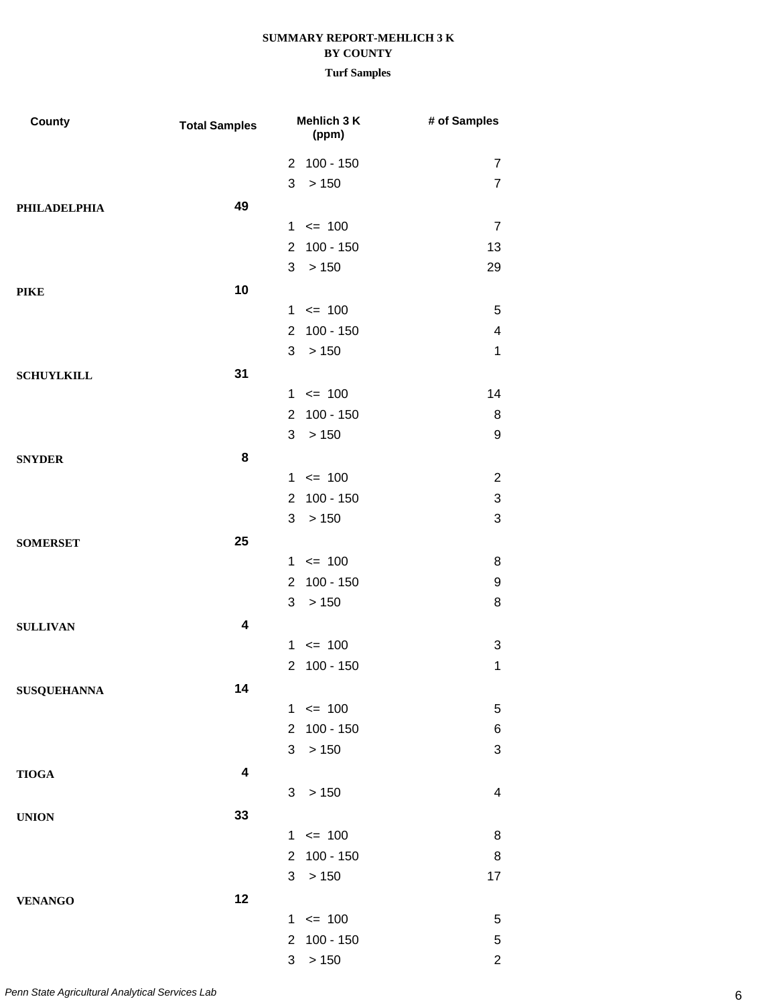# **SUMMARY REPORT-MEHLICH 3 K**

### **BY COUNTY**

| <b>County</b>       | Mehlich 3 K<br><b>Total Samples</b><br>(ppm) |                |             | # of Samples              |  |
|---------------------|----------------------------------------------|----------------|-------------|---------------------------|--|
|                     |                                              |                | 2 100 - 150 | $\overline{7}$            |  |
|                     |                                              | 3              | > 150       | $\overline{7}$            |  |
| <b>PHILADELPHIA</b> | 49                                           |                |             |                           |  |
|                     |                                              |                | $1 \le 100$ | $\overline{7}$            |  |
|                     |                                              | $\overline{2}$ | $100 - 150$ | 13                        |  |
|                     |                                              | 3              | >150        | 29                        |  |
| <b>PIKE</b>         | 10                                           |                |             |                           |  |
|                     |                                              |                | $1 \le 100$ | 5                         |  |
|                     |                                              | $\overline{2}$ | $100 - 150$ | $\overline{\mathbf{4}}$   |  |
|                     |                                              | 3              | >150        | $\mathbf 1$               |  |
| <b>SCHUYLKILL</b>   | 31                                           |                |             |                           |  |
|                     |                                              |                | $1 \le 100$ | 14                        |  |
|                     |                                              | $\overline{2}$ | $100 - 150$ | 8                         |  |
|                     |                                              | 3              | >150        | 9                         |  |
| <b>SNYDER</b>       | 8                                            |                |             |                           |  |
|                     |                                              |                | $1 \le 100$ | $\overline{2}$            |  |
|                     |                                              | $\overline{2}$ | $100 - 150$ | $\ensuremath{\mathsf{3}}$ |  |
|                     |                                              | 3              | >150        | 3                         |  |
| <b>SOMERSET</b>     | 25                                           |                |             |                           |  |
|                     |                                              |                | $1 \le 100$ | 8                         |  |
|                     |                                              | $\overline{2}$ | $100 - 150$ | 9                         |  |
|                     |                                              | 3              | >150        | 8                         |  |
| <b>SULLIVAN</b>     | 4                                            |                |             |                           |  |
|                     |                                              | $\mathbf 1$    | $\leq$ 100  | 3                         |  |
|                     |                                              | $\overline{2}$ | $100 - 150$ | 1                         |  |
| <b>SUSQUEHANNA</b>  | 14                                           |                |             |                           |  |
|                     |                                              |                | $1 \le 100$ | 5                         |  |
|                     |                                              | $\overline{2}$ | $100 - 150$ | 6                         |  |
|                     |                                              | 3              | > 150       | $\ensuremath{\mathsf{3}}$ |  |
| <b>TIOGA</b>        | $\overline{\mathbf{4}}$                      |                |             |                           |  |
|                     |                                              | 3              | > 150       | 4                         |  |
| <b>UNION</b>        | 33                                           |                |             |                           |  |
|                     |                                              |                | $1 \le 100$ | 8                         |  |
|                     |                                              | $\overline{2}$ | $100 - 150$ | 8                         |  |
|                     |                                              | 3              | > 150       | 17                        |  |
| <b>VENANGO</b>      | 12                                           |                |             |                           |  |
|                     |                                              |                | $1 \le 100$ | 5                         |  |
|                     |                                              | $\overline{2}$ | $100 - 150$ | $\,$ 5 $\,$               |  |
|                     |                                              | 3              | > 150       | $\overline{2}$            |  |